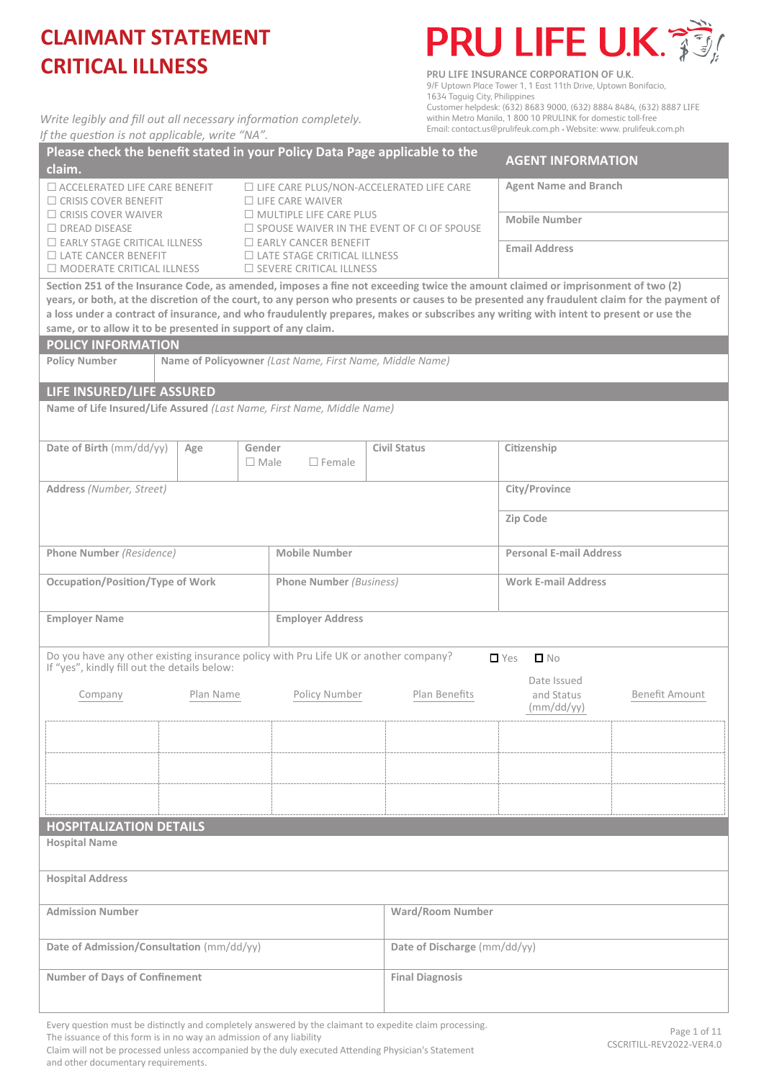*Write legibly and fill out all necessary information completely.* 



**PRU LIFE INSURANCE CORPORATION OF U.K.** 9/F Uptown Place Tower 1, 1 East 11th Drive, Uptown Bonifacio, 1634 Taguig City, Philippines Customer helpdesk: (632) 8683 9000, (632) 8884 8484, (632) 8887 LIFE within Metro Manila, 1 800 10 PRULINK for domestic toll-free Email: contact.us@prulifeuk.com.ph · Website: www. prulifeuk.com.ph

| If the question is not applicable, write "NA".                                                                                                                                                                                                                                                                                                                                                                                                                                             |           |                       |                                                                                                     |                              |            | Email: contact.us@prulifeuk.com.ph • Website: www. prulifeuk.com.ph |                |
|--------------------------------------------------------------------------------------------------------------------------------------------------------------------------------------------------------------------------------------------------------------------------------------------------------------------------------------------------------------------------------------------------------------------------------------------------------------------------------------------|-----------|-----------------------|-----------------------------------------------------------------------------------------------------|------------------------------|------------|---------------------------------------------------------------------|----------------|
| Please check the benefit stated in your Policy Data Page applicable to the<br>claim.                                                                                                                                                                                                                                                                                                                                                                                                       |           |                       |                                                                                                     |                              |            | <b>AGENT INFORMATION</b>                                            |                |
| $\Box$ ACCELERATED LIFE CARE BENEFIT<br>$\Box$ CRISIS COVER BENEFIT                                                                                                                                                                                                                                                                                                                                                                                                                        |           |                       | $\Box$ LIFE CARE PLUS/NON-ACCELERATED LIFE CARE<br>$\Box$ LIFE CARE WAIVER                          |                              |            | <b>Agent Name and Branch</b>                                        |                |
| $\Box$ CRISIS COVER WAIVER<br>$\Box$ DREAD DISEASE                                                                                                                                                                                                                                                                                                                                                                                                                                         |           |                       | $\Box$ MULTIPLE LIFE CARE PLUS<br>$\Box$ SPOUSE WAIVER IN THE EVENT OF CI OF SPOUSE                 |                              |            | <b>Mobile Number</b>                                                |                |
| $\Box$ EARLY STAGE CRITICAL ILLNESS<br>$\Box$ LATE CANCER BENEFIT<br>$\Box$ MODERATE CRITICAL ILLNESS                                                                                                                                                                                                                                                                                                                                                                                      |           |                       | $\Box$ EARLY CANCER BENEFIT<br>$\Box$ LATE STAGE CRITICAL ILLNESS<br>$\Box$ SEVERE CRITICAL ILLNESS |                              |            | <b>Email Address</b>                                                |                |
| Section 251 of the Insurance Code, as amended, imposes a fine not exceeding twice the amount claimed or imprisonment of two (2)<br>years, or both, at the discretion of the court, to any person who presents or causes to be presented any fraudulent claim for the payment of<br>a loss under a contract of insurance, and who fraudulently prepares, makes or subscribes any writing with intent to present or use the<br>same, or to allow it to be presented in support of any claim. |           |                       |                                                                                                     |                              |            |                                                                     |                |
| <b>POLICY INFORMATION</b><br><b>Policy Number</b><br>Name of Policyowner (Last Name, First Name, Middle Name)                                                                                                                                                                                                                                                                                                                                                                              |           |                       |                                                                                                     |                              |            |                                                                     |                |
|                                                                                                                                                                                                                                                                                                                                                                                                                                                                                            |           |                       |                                                                                                     |                              |            |                                                                     |                |
| LIFE INSURED/LIFE ASSURED                                                                                                                                                                                                                                                                                                                                                                                                                                                                  |           |                       |                                                                                                     |                              |            |                                                                     |                |
| Name of Life Insured/Life Assured (Last Name, First Name, Middle Name)                                                                                                                                                                                                                                                                                                                                                                                                                     |           |                       |                                                                                                     |                              |            |                                                                     |                |
| Date of Birth (mm/dd/yy)                                                                                                                                                                                                                                                                                                                                                                                                                                                                   | Age       | Gender<br>$\Box$ Male | $\Box$ Female                                                                                       | <b>Civil Status</b>          |            | Citizenship                                                         |                |
| Address (Number, Street)                                                                                                                                                                                                                                                                                                                                                                                                                                                                   |           |                       |                                                                                                     |                              |            | City/Province                                                       |                |
|                                                                                                                                                                                                                                                                                                                                                                                                                                                                                            |           |                       |                                                                                                     |                              | Zip Code   |                                                                     |                |
| Phone Number (Residence)                                                                                                                                                                                                                                                                                                                                                                                                                                                                   |           |                       | <b>Mobile Number</b>                                                                                |                              |            | <b>Personal E-mail Address</b>                                      |                |
| <b>Occupation/Position/Type of Work</b>                                                                                                                                                                                                                                                                                                                                                                                                                                                    |           |                       | <b>Phone Number (Business)</b>                                                                      |                              |            | <b>Work E-mail Address</b>                                          |                |
| <b>Employer Name</b>                                                                                                                                                                                                                                                                                                                                                                                                                                                                       |           |                       | <b>Employer Address</b>                                                                             |                              |            |                                                                     |                |
| Do you have any other existing insurance policy with Pru Life UK or another company?<br>If "yes", kindly fill out the details below:                                                                                                                                                                                                                                                                                                                                                       |           |                       |                                                                                                     |                              | $\Box$ Yes | $\Box$ No                                                           |                |
| Company                                                                                                                                                                                                                                                                                                                                                                                                                                                                                    | Plan Name |                       | Policy Number                                                                                       | Plan Benefits                |            | Date Issued<br>and Status<br>(mm/dd/yy)                             | Benefit Amount |
|                                                                                                                                                                                                                                                                                                                                                                                                                                                                                            |           |                       |                                                                                                     |                              |            |                                                                     |                |
|                                                                                                                                                                                                                                                                                                                                                                                                                                                                                            |           |                       |                                                                                                     |                              |            |                                                                     |                |
|                                                                                                                                                                                                                                                                                                                                                                                                                                                                                            |           |                       |                                                                                                     |                              |            |                                                                     |                |
| <b>HOSPITALIZATION DETAILS</b>                                                                                                                                                                                                                                                                                                                                                                                                                                                             |           |                       |                                                                                                     |                              |            |                                                                     |                |
| <b>Hospital Name</b>                                                                                                                                                                                                                                                                                                                                                                                                                                                                       |           |                       |                                                                                                     |                              |            |                                                                     |                |
| <b>Hospital Address</b>                                                                                                                                                                                                                                                                                                                                                                                                                                                                    |           |                       |                                                                                                     |                              |            |                                                                     |                |
| <b>Admission Number</b>                                                                                                                                                                                                                                                                                                                                                                                                                                                                    |           |                       |                                                                                                     | <b>Ward/Room Number</b>      |            |                                                                     |                |
| Date of Admission/Consultation (mm/dd/yy)                                                                                                                                                                                                                                                                                                                                                                                                                                                  |           |                       |                                                                                                     | Date of Discharge (mm/dd/yy) |            |                                                                     |                |
| <b>Number of Days of Confinement</b>                                                                                                                                                                                                                                                                                                                                                                                                                                                       |           |                       | <b>Final Diagnosis</b>                                                                              |                              |            |                                                                     |                |

Every question must be distinctly and completely answered by the claimant to expedite claim processing.

The issuance of this form is in no way an admission of any liability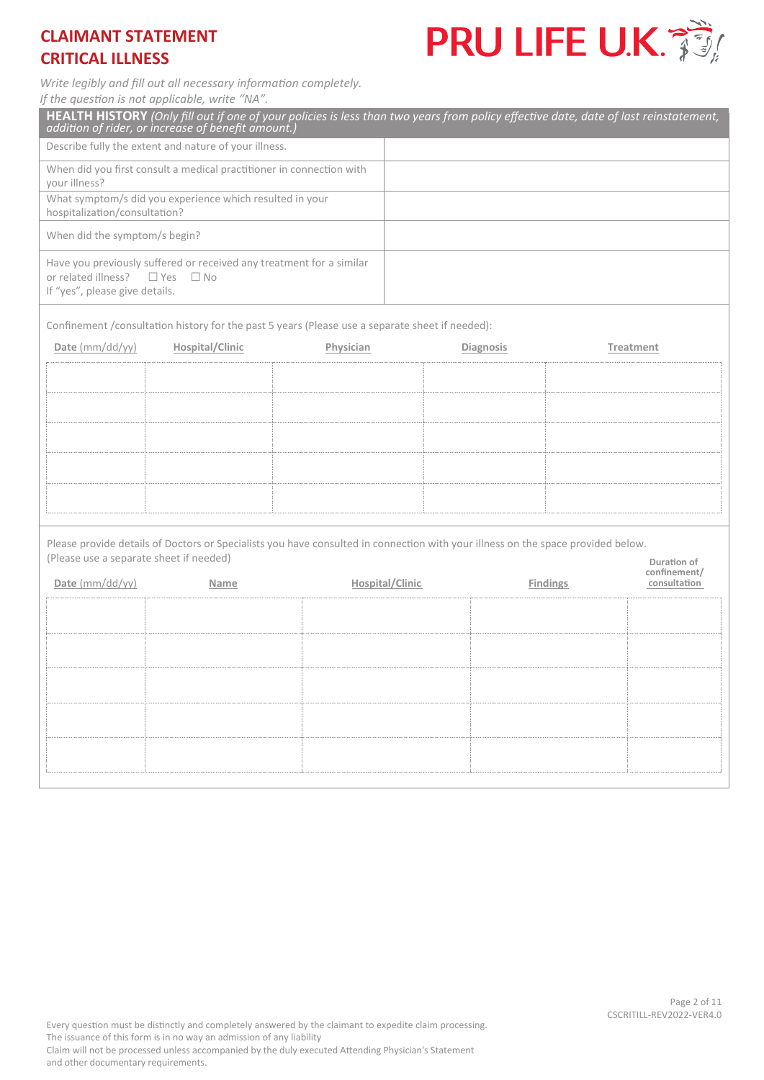

*Write legibly and fill out all necessary information completely.* 

*If the question is not applicable, write "NA".* 

| <b>HEALTH HISTORY</b> (Only fill out if one of your policies is less than two years from policy effective date, date of last reinstatement,<br>addition of rider, or increase of benefit amount.) |                               |
|---------------------------------------------------------------------------------------------------------------------------------------------------------------------------------------------------|-------------------------------|
| Describe fully the extent and nature of your illness.                                                                                                                                             |                               |
| When did you first consult a medical practitioner in connection with<br>your illness?                                                                                                             |                               |
| What symptom/s did you experience which resulted in your<br>hospitalization/consultation?                                                                                                         |                               |
| When did the symptom/s begin?                                                                                                                                                                     |                               |
| Have you previously suffered or received any treatment for a similar<br>or related illness? $\Box$ Yes $\Box$ No<br>If "yes", please give details.                                                |                               |
| Confinement /consultation history for the past 5 years (Please use a separate sheet if needed):                                                                                                   |                               |
| Date $\text{mm}/\text{dd}/\text{vv}$<br>Hospital/Clinic<br>Physician                                                                                                                              | <b>Diagnosis</b><br>Treatment |
|                                                                                                                                                                                                   |                               |

( Please use a separate sheet if needed) Please provide details of Doctors or Specialists you have consulted in connection with your illness on the space provided below.

| Date (mm/dd/yy) | Name | <b>Hospital/Clinic</b> | <b>Findings</b> | confinement/<br>consultation |
|-----------------|------|------------------------|-----------------|------------------------------|
|                 |      |                        |                 |                              |
|                 |      |                        |                 |                              |
|                 |      |                        |                 |                              |
|                 |      |                        |                 |                              |
|                 |      |                        |                 |                              |
|                 |      |                        |                 |                              |

**Duration of**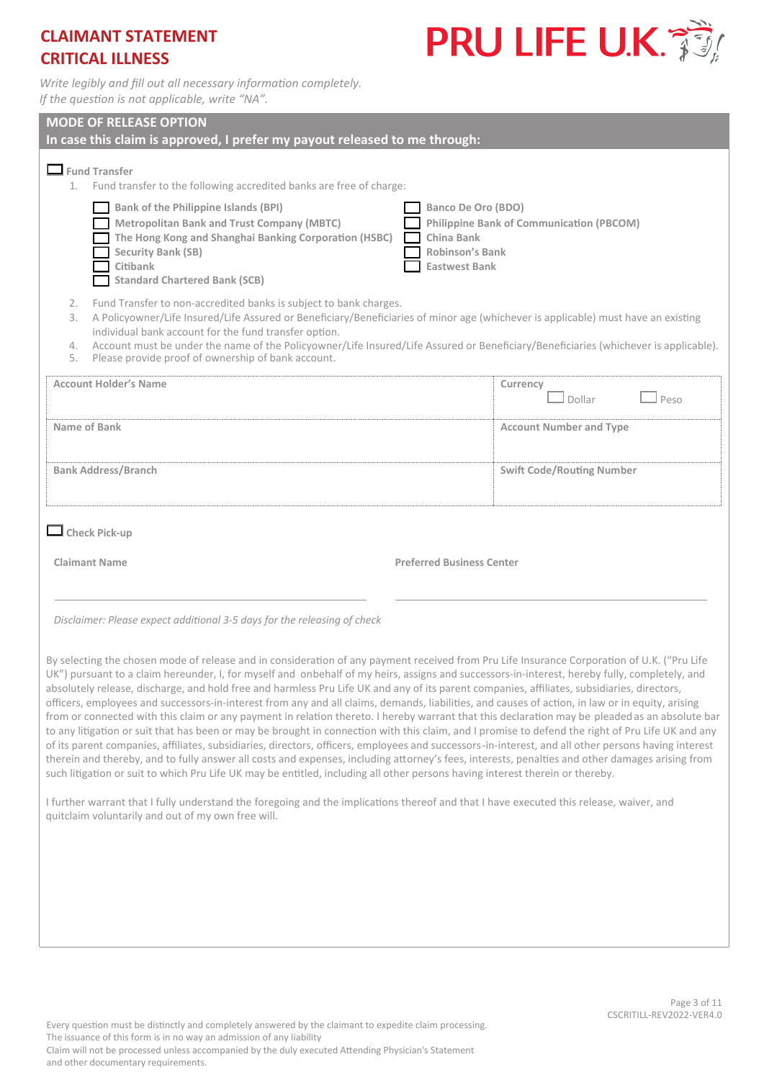

*Write legibly and fill out all necessary information completely. If the question is not applicable, write "NA".* 

| <b>MODE OF RELEASE OPTION</b><br>In case this claim is approved, I prefer my payout released to me through:                                                                                                                                                                                                                                                                                                                                                                                                                                                                                                                                                                                                                                                                                                                                                                                                                                                                                                                                                                                                                                                                                                                                                                                                                                       |                                  |  |  |  |
|---------------------------------------------------------------------------------------------------------------------------------------------------------------------------------------------------------------------------------------------------------------------------------------------------------------------------------------------------------------------------------------------------------------------------------------------------------------------------------------------------------------------------------------------------------------------------------------------------------------------------------------------------------------------------------------------------------------------------------------------------------------------------------------------------------------------------------------------------------------------------------------------------------------------------------------------------------------------------------------------------------------------------------------------------------------------------------------------------------------------------------------------------------------------------------------------------------------------------------------------------------------------------------------------------------------------------------------------------|----------------------------------|--|--|--|
| $\Box$ Fund Transfer<br>1. Fund transfer to the following accredited banks are free of charge:                                                                                                                                                                                                                                                                                                                                                                                                                                                                                                                                                                                                                                                                                                                                                                                                                                                                                                                                                                                                                                                                                                                                                                                                                                                    |                                  |  |  |  |
| <b>Bank of the Philippine Islands (BPI)</b><br>Banco De Oro (BDO)<br><b>Philippine Bank of Communication (PBCOM)</b><br><b>Metropolitan Bank and Trust Company (MBTC)</b><br>The Hong Kong and Shanghai Banking Corporation (HSBC)<br>China Bank<br>Security Bank (SB)<br><b>Robinson's Bank</b><br>Citibank<br><b>Eastwest Bank</b><br><b>Standard Chartered Bank (SCB)</b>                                                                                                                                                                                                                                                                                                                                                                                                                                                                                                                                                                                                                                                                                                                                                                                                                                                                                                                                                                      |                                  |  |  |  |
| Fund Transfer to non-accredited banks is subject to bank charges.<br>2.<br>A Policyowner/Life Insured/Life Assured or Beneficiary/Beneficiaries of minor age (whichever is applicable) must have an existing<br>3.<br>individual bank account for the fund transfer option.<br>Account must be under the name of the Policyowner/Life Insured/Life Assured or Beneficiary/Beneficiaries (whichever is applicable).<br>4.<br>Please provide proof of ownership of bank account.<br>5.                                                                                                                                                                                                                                                                                                                                                                                                                                                                                                                                                                                                                                                                                                                                                                                                                                                              |                                  |  |  |  |
| <b>Account Holder's Name</b>                                                                                                                                                                                                                                                                                                                                                                                                                                                                                                                                                                                                                                                                                                                                                                                                                                                                                                                                                                                                                                                                                                                                                                                                                                                                                                                      | Currency<br>Dollar<br>Peso       |  |  |  |
| Name of Bank                                                                                                                                                                                                                                                                                                                                                                                                                                                                                                                                                                                                                                                                                                                                                                                                                                                                                                                                                                                                                                                                                                                                                                                                                                                                                                                                      | <b>Account Number and Type</b>   |  |  |  |
| <b>Bank Address/Branch</b>                                                                                                                                                                                                                                                                                                                                                                                                                                                                                                                                                                                                                                                                                                                                                                                                                                                                                                                                                                                                                                                                                                                                                                                                                                                                                                                        | <b>Swift Code/Routing Number</b> |  |  |  |
| $\Box$ Check Pick-up                                                                                                                                                                                                                                                                                                                                                                                                                                                                                                                                                                                                                                                                                                                                                                                                                                                                                                                                                                                                                                                                                                                                                                                                                                                                                                                              |                                  |  |  |  |
| <b>Claimant Name</b><br><b>Preferred Business Center</b>                                                                                                                                                                                                                                                                                                                                                                                                                                                                                                                                                                                                                                                                                                                                                                                                                                                                                                                                                                                                                                                                                                                                                                                                                                                                                          |                                  |  |  |  |
| Disclaimer: Please expect additional 3-5 days for the releasing of check                                                                                                                                                                                                                                                                                                                                                                                                                                                                                                                                                                                                                                                                                                                                                                                                                                                                                                                                                                                                                                                                                                                                                                                                                                                                          |                                  |  |  |  |
| By selecting the chosen mode of release and in consideration of any payment received from Pru Life Insurance Corporation of U.K. ("Pru Life<br>UK") pursuant to a claim hereunder, I, for myself and onbehalf of my heirs, assigns and successors-in-interest, hereby fully, completely, and<br>absolutely release, discharge, and hold free and harmless Pru Life UK and any of its parent companies, affiliates, subsidiaries, directors,<br>officers, employees and successors-in-interest from any and all claims, demands, liabilities, and causes of action, in law or in equity, arising<br>from or connected with this claim or any payment in relation thereto. I hereby warrant that this declaration may be pleaded as an absolute bar<br>to any litigation or suit that has been or may be brought in connection with this claim, and I promise to defend the right of Pru Life UK and any<br>of its parent companies, affiliates, subsidiaries, directors, officers, employees and successors-in-interest, and all other persons having interest<br>therein and thereby, and to fully answer all costs and expenses, including attorney's fees, interests, penalties and other damages arising from<br>such litigation or suit to which Pru Life UK may be entitled, including all other persons having interest therein or thereby. |                                  |  |  |  |
| I further warrant that I fully understand the foregoing and the implications thereof and that I have executed this release, waiver, and<br>quitclaim voluntarily and out of my own free will.                                                                                                                                                                                                                                                                                                                                                                                                                                                                                                                                                                                                                                                                                                                                                                                                                                                                                                                                                                                                                                                                                                                                                     |                                  |  |  |  |
|                                                                                                                                                                                                                                                                                                                                                                                                                                                                                                                                                                                                                                                                                                                                                                                                                                                                                                                                                                                                                                                                                                                                                                                                                                                                                                                                                   |                                  |  |  |  |
|                                                                                                                                                                                                                                                                                                                                                                                                                                                                                                                                                                                                                                                                                                                                                                                                                                                                                                                                                                                                                                                                                                                                                                                                                                                                                                                                                   |                                  |  |  |  |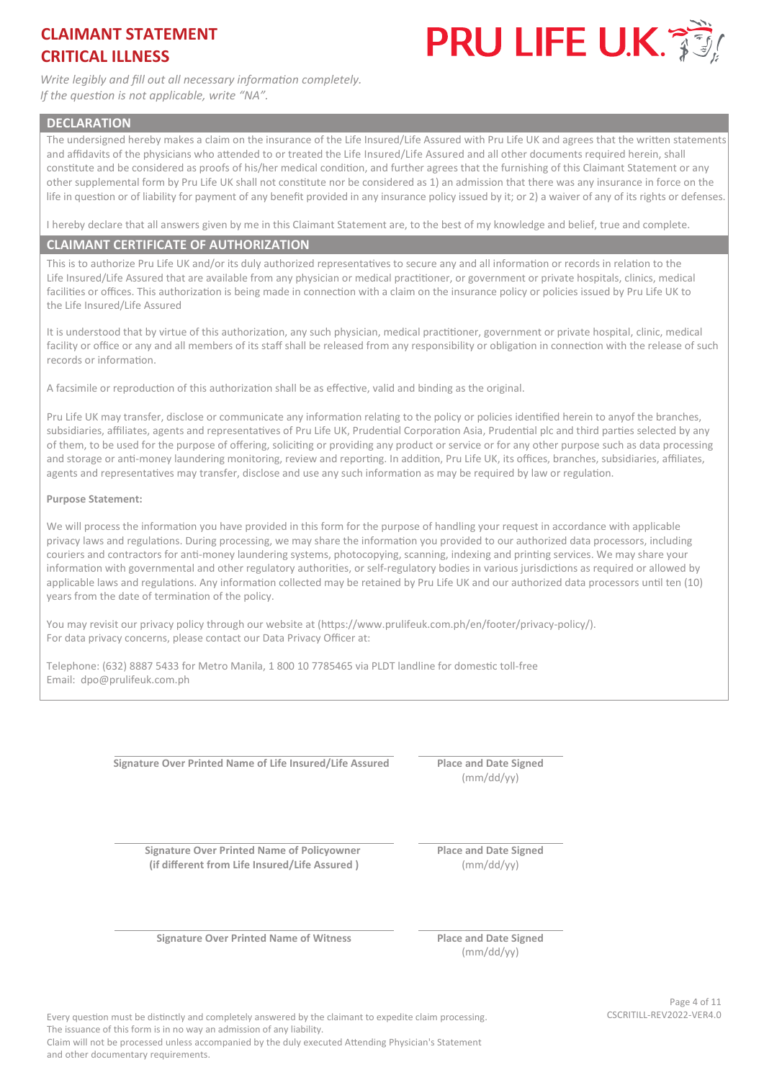

*Write legibly and fill out all necessary information completely. If the question is not applicable, write "NA".* 

#### **DECLARATION**

The undersigned hereby makes a claim on the insurance of the Life Insured/Life Assured with Pru Life UK and agrees that the written statements and affidavits of the physicians who attended to or treated the Life Insured/Life Assured and all other documents required herein, shall constitute and be considered as proofs of his/her medical condition, and further agrees that the furnishing of this Claimant Statement or any other supplemental form by Pru Life UK shall not constitute nor be considered as 1) an admission that there was any insurance in force on the life in question or of liability for payment of any benefit provided in any insurance policy issued by it; or 2) a waiver of any of its rights or defenses.

I hereby declare that all answers given by me in this Claimant Statement are, to the best of my knowledge and belief, true and complete.

#### **CLAIMANT CERTIFICATE OF AUTHORIZATION**

This is to authorize Pru Life UK and/or its duly authorized representatives to secure any and all information or records in relation to the Life Insured/Life Assured that are available from any physician or medical practitioner, or government or private hospitals, clinics, medical facilities or offices. This authorization is being made in connection with a claim on the insurance policy or policies issued by Pru Life UK to the Life Insured/Life Assured

It is understood that by virtue of this authorization, any such physician, medical practitioner, government or private hospital, clinic, medical facility or office or any and all members of its staff shall be released from any responsibility or obligation in connection with the release of such records or information.

A facsimile or reproduction of this authorization shall be as effective, valid and binding as the original.

Pru Life UK may transfer, disclose or communicate any information relating to the policy or policies identified herein to anyof the branches, subsidiaries, affiliates, agents and representatives of Pru Life UK, Prudential Corporation Asia, Prudential plc and third parties selected by any of them, to be used for the purpose of offering, soliciting or providing any product or service or for any other purpose such as data processing and storage or anti-money laundering monitoring, review and reporting. In addition, Pru Life UK, its offices, branches, subsidiaries, affiliates, agents and representatives may transfer, disclose and use any such information as may be required by law or regulation.

#### **Purpose Statement:**

We will process the information you have provided in this form for the purpose of handling your request in accordance with applicable privacy laws and regulations. During processing, we may share the information you provided to our authorized data processors, including couriers and contractors for anti-money laundering systems, photocopying, scanning, indexing and printing services. We may share your information with governmental and other regulatory authorities, or self-regulatory bodies in various jurisdictions as required or allowed by applicable laws and regulations. Any information collected may be retained by Pru Life UK and our authorized data processors until ten (10) years from the date of termination of the policy.

You may revisit our privacy policy through our website at (https://www.prulifeuk.com.ph/en/footer/privacy-policy/). For data privacy concerns, please contact our Data Privacy Officer at:

Telephone: (632) 8887 5433 for Metro Manila, 1 800 10 7785465 via PLDT landline for domestic toll-free Email: dpo@prulifeuk.com.ph

**Signature Over Printed Name of Life Insured/Life Assured Place and Date Signed** 

(mm/dd/yy)

**Signature Over Printed Name of Policyowner (if different from Life Insured/Life Assured )**

**Place and Date Signed**  (mm/dd/yy)

**Signature Over Printed Name of Witness Place and Date Signed** 

(mm/dd/yy)

Every question must be distinctly and completely answered by the claimant to expedite claim processing. CSCRITILL-REV2022-VER4.0 The issuance of this form is in no way an admission of any liability.

Page 4 of 11

Claim will not be processed unless accompanied by the duly executed Attending Physician's Statement and other documentary requirements.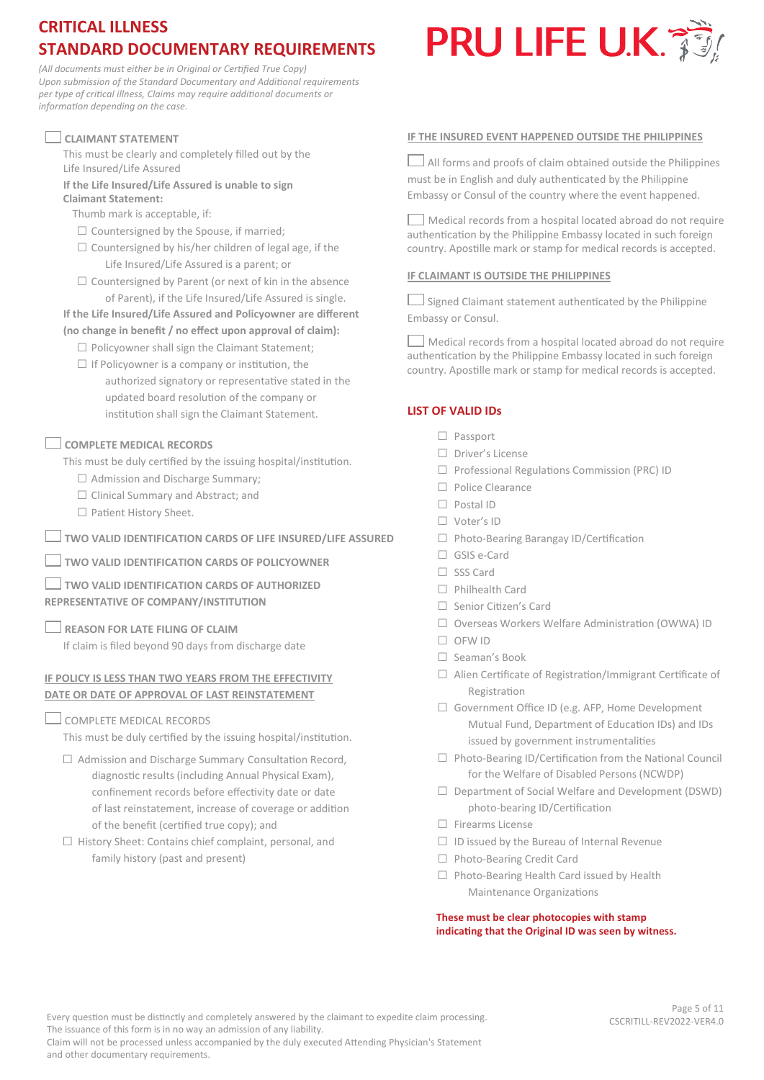# **CRITICAL ILLNESS STANDARD DOCUMENTARY REQUIREMENTS**

*(All documents must either be in Original or Certified True Copy) Upon submission of the Standard Documentary and Additional requirements per type of critical illness, Claims may require additional documents or information depending on the case.*

## **CLAIMANT STATEMENT**

This must be clearly and completely filled out by the Life Insured/Life Assured

**If the Life Insured/Life Assured is unable to sign Claimant Statement:** 

Thumb mark is acceptable, if:

- $\square$  Countersigned by the Spouse, if married:
- $\square$  Countersigned by his/her children of legal age, if the Life Insured/Life Assured is a parent; or
- $\square$  Countersigned by Parent (or next of kin in the absence of Parent), if the Life Insured/Life Assured is single.

# **If the Life Insured/Life Assured and Policyowner are different**

- **(no change in benefit / no effect upon approval of claim):**  $\Box$  Policyowner shall sign the Claimant Statement;
	- $\Box$  If Policyowner is a company or institution, the
	- authorized signatory or representative stated in the updated board resolution of the company or institution shall sign the Claimant Statement.

## **COMPLETE MEDICAL RECORDS**

This must be duly certified by the issuing hospital/institution.

- □ Admission and Discharge Summary;
- □ Clinical Summary and Abstract; and
- □ Patient History Sheet.

**TWO VALID IDENTIFICATION CARDS OF LIFE INSURED/LIFE ASSURED**

- **TWO VALID IDENTIFICATION CARDS OF POLICYOWNER**
- **TWO VALID IDENTIFICATION CARDS OF AUTHORIZED REPRESENTATIVE OF COMPANY/INSTITUTION**
- **REASON FOR LATE FILING OF CLAIM**

If claim is filed beyond 90 days from discharge date

## **IF POLICY IS LESS THAN TWO YEARS FROM THE EFFECTIVITY DATE OR DATE OF APPROVAL OF LAST REINSTATEMENT**

COMPLETE MEDICAL RECORDS

and other documentary requirements.

This must be duly certified by the issuing hospital/institution.

- $\Box$  Admission and Discharge Summary Consultation Record, diagnostic results (including Annual Physical Exam), confinement records before effectivity date or date of last reinstatement, increase of coverage or addition of the benefit (certified true copy); and
- □ History Sheet: Contains chief complaint, personal, and family history (past and present)

# PRU LIFE U.K.

## **IF THE INSURED EVENT HAPPENED OUTSIDE THE PHILIPPINES**

 $\Box$  All forms and proofs of claim obtained outside the Philippines must be in English and duly authenticated by the Philippine Embassy or Consul of the country where the event happened.

 $\Box$  Medical records from a hospital located abroad do not require authentication by the Philippine Embassy located in such foreign country. Apostille mark or stamp for medical records is accepted.

#### **IF CLAIMANT IS OUTSIDE THE PHILIPPINES**

 $\Box$  Signed Claimant statement authenticated by the Philippine Embassy or Consul.

 $\Box$  Medical records from a hospital located abroad do not require authentication by the Philippine Embassy located in such foreign country. Apostille mark or stamp for medical records is accepted.

## **LIST OF VALID IDs**

- □ Passport
- □ Driver's License
- □ Professional Regulations Commission (PRC) ID
- □ Police Clearance
- □ Postal ID
- □ Voter's ID
- □ Photo-Bearing Barangay ID/Certification
- □ GSIS e-Card
- □ SSS Card
- □ Philhealth Card
- □ Senior Citizen's Card
- □ Overseas Workers Welfare Administration (OWWA) ID
- □ OFW ID
- □ Seaman's Book
- □ Alien Certificate of Registration/Immigrant Certificate of Registration
- □ Government Office ID (e.g. AFP, Home Development Mutual Fund, Department of Education IDs) and IDs issued by government instrumentalities
- □ Photo-Bearing ID/Certification from the National Council for the Welfare of Disabled Persons (NCWDP)
- □ Department of Social Welfare and Development (DSWD) photo-bearing ID/Certification
- □ Firearms License
- $\Box$  ID issued by the Bureau of Internal Revenue
- □ Photo-Bearing Credit Card
- $\Box$  Photo-Bearing Health Card issued by Health Maintenance Organizations

**These must be clear photocopies with stamp indicating that the Original ID was seen by witness.**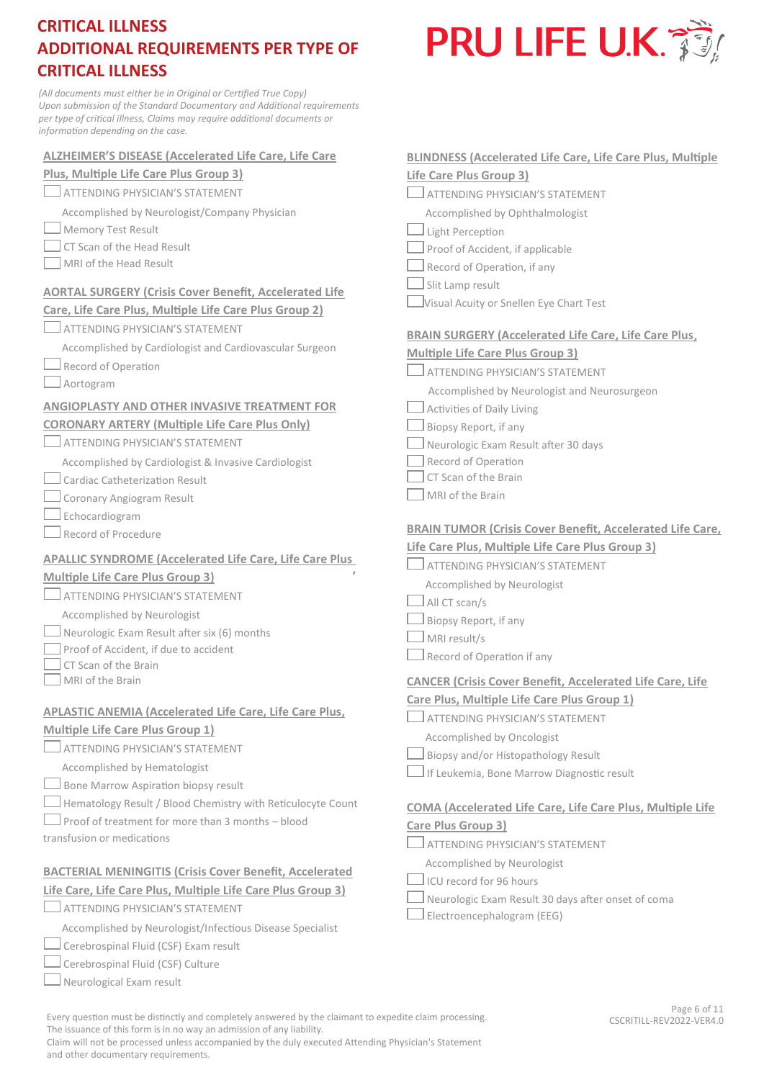*(All documents must either be in Original or Certified True Copy) Upon submission of the Standard Documentary and Additional requirements per type of critical illness, Claims may require additional documents or information depending on the case.* 

| <b>ALZHEIMER'S DISEASE (Accelerated Life Care, Life Care</b>                                   | <b>BLINDNESS (Accelerated Life Care, Life Care Plus, Multiple</b> |
|------------------------------------------------------------------------------------------------|-------------------------------------------------------------------|
| Plus, Multiple Life Care Plus Group 3)                                                         | Life Care Plus Group 3)                                           |
| $\Box$ attending physician's statement                                                         | ATTENDING PHYSICIAN'S STATEMENT                                   |
| Accomplished by Neurologist/Company Physician                                                  | Accomplished by Ophthalmologist                                   |
| Memory Test Result                                                                             | Light Perception                                                  |
| CT Scan of the Head Result                                                                     | Proof of Accident, if applicable                                  |
| MRI of the Head Result                                                                         | Record of Operation, if any                                       |
| <b>AORTAL SURGERY (Crisis Cover Benefit, Accelerated Life</b>                                  | Slit Lamp result                                                  |
| Care, Life Care Plus, Multiple Life Care Plus Group 2)                                         | Visual Acuity or Snellen Eye Chart Test                           |
| ATTENDING PHYSICIAN'S STATEMENT                                                                | <b>BRAIN SURGERY (Accelerated Life Care, Life Care Plus,</b>      |
| Accomplished by Cardiologist and Cardiovascular Surgeon                                        | <b>Multiple Life Care Plus Group 3)</b>                           |
| Record of Operation                                                                            | ATTENDING PHYSICIAN'S STATEMENT                                   |
| Aortogram                                                                                      | Accomplished by Neurologist and Neurosurgeon                      |
| <b>ANGIOPLASTY AND OTHER INVASIVE TREATMENT FOR</b>                                            | Activities of Daily Living                                        |
| <b>CORONARY ARTERY (Multiple Life Care Plus Only)</b>                                          | Biopsy Report, if any                                             |
| ATTENDING PHYSICIAN'S STATEMENT                                                                | Neurologic Exam Result after 30 days                              |
| Accomplished by Cardiologist & Invasive Cardiologist                                           | Record of Operation                                               |
| $\Box$ Cardiac Catheterization Result                                                          | CT Scan of the Brain                                              |
| Coronary Angiogram Result                                                                      | MRI of the Brain                                                  |
| $\perp$ Echocardiogram                                                                         |                                                                   |
| $\Box$ Record of Procedure                                                                     | <b>BRAIN TUMOR (Crisis Cover Benefit, Accelerated Life Care,</b>  |
|                                                                                                | Life Care Plus, Multiple Life Care Plus Group 3)                  |
| <b>APALLIC SYNDROME (Accelerated Life Care, Life Care Plus</b>                                 | ATTENDING PHYSICIAN'S STATEMENT                                   |
| <b>Multiple Life Care Plus Group 3)</b>                                                        | Accomplished by Neurologist                                       |
| ATTENDING PHYSICIAN'S STATEMENT                                                                | All CT scan/s                                                     |
| Accomplished by Neurologist                                                                    | Biopsy Report, if any                                             |
| $\Box$ Neurologic Exam Result after six (6) months                                             | MRI result/s                                                      |
| Proof of Accident, if due to accident                                                          | Record of Operation if any                                        |
| CT Scan of the Brain                                                                           |                                                                   |
| MRI of the Brain                                                                               | <b>CANCER (Crisis Cover Benefit, Accelerated Life Care, Life</b>  |
| APLASTIC ANEMIA (Accelerated Life Care, Life Care Plus,                                        | Care Plus, Multiple Life Care Plus Group 1)                       |
| Multiple Life Care Plus Group 1)                                                               | ATTENDING PHYSICIAN'S STATEMENT                                   |
|                                                                                                | Accomplished by Oncologist                                        |
| <b>ATTENDING PHYSICIAN'S STATEMENT</b>                                                         | Biopsy and/or Histopathology Result                               |
| Accomplished by Hematologist                                                                   | If Leukemia, Bone Marrow Diagnostic result                        |
| Bone Marrow Aspiration biopsy result                                                           |                                                                   |
| Hematology Result / Blood Chemistry with Reticulocyte Count                                    | <b>COMA (Accelerated Life Care, Life Care Plus, Multiple Life</b> |
| Proof of treatment for more than 3 months - blood                                              | Care Plus Group 3)                                                |
| transfusion or medications                                                                     | ATTENDING PHYSICIAN'S STATEMENT                                   |
|                                                                                                | Accomplished by Neurologist                                       |
| <b>BACTERIAL MENINGITIS (Crisis Cover Benefit, Accelerated</b>                                 | ICU record for 96 hours                                           |
| Life Care, Life Care Plus, Multiple Life Care Plus Group 3)<br>ATTENDING PHYSICIAN'S STATEMENT | Neurologic Exam Result 30 days after onset of coma                |
|                                                                                                |                                                                   |

 $\Box$  Electroencephalogram (EEG)

Every question must be distinctly and completely answered by the claimant to expedite claim processing. The issuance of this form is in no way an admission of any liability.

Accomplished by Neurologist/Infectious Disease Specialist

 $\Box$  Cerebrospinal Fluid (CSF) Exam result Cerebrospinal Fluid (CSF) Culture  $\Box$  Neurological Exam result

L

Г

Claim will not be processed unless accompanied by the duly executed Attending Physician's Statement and other documentary requirements.

# PRU LIFE U.K.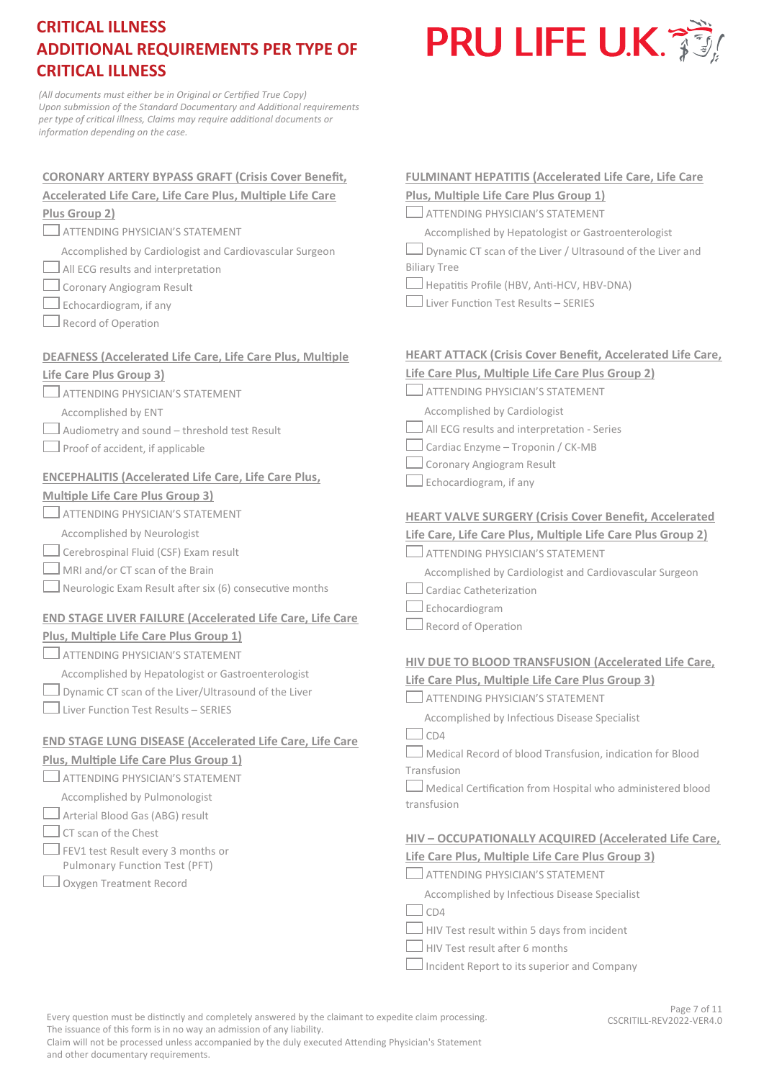

*(All documents must either be in Original or Certified True Copy) Upon submission of the Standard Documentary and Additional requirements per type of critical illness, Claims may require additional documents or information depending on the case.*

| <b>CORONARY ARTERY BYPASS GRAFT (Crisis Cover Benefit,</b>                       | <b>FULMINANT HEPATITIS (Accelerated Life Care, Life Care</b>      |
|----------------------------------------------------------------------------------|-------------------------------------------------------------------|
| <b>Accelerated Life Care, Life Care Plus, Multiple Life Care</b>                 | Plus, Multiple Life Care Plus Group 1)                            |
| Plus Group 2)                                                                    | ATTENDING PHYSICIAN'S STATEMENT                                   |
| ATTENDING PHYSICIAN'S STATEMENT                                                  | Accomplished by Hepatologist or Gastroenterologist                |
| Accomplished by Cardiologist and Cardiovascular Surgeon                          | Dynamic CT scan of the Liver / Ultrasound of the Liver and        |
| All ECG results and interpretation                                               | <b>Biliary Tree</b>                                               |
| Coronary Angiogram Result                                                        | Hepatitis Profile (HBV, Anti-HCV, HBV-DNA)                        |
| Echocardiogram, if any                                                           | Liver Function Test Results - SERIES                              |
| Record of Operation                                                              |                                                                   |
| <b>DEAFNESS (Accelerated Life Care, Life Care Plus, Multiple</b>                 | <b>HEART ATTACK (Crisis Cover Benefit, Accelerated Life Care,</b> |
| Life Care Plus Group 3)                                                          | Life Care Plus, Multiple Life Care Plus Group 2)                  |
| <b>ATTENDING PHYSICIAN'S STATEMENT</b>                                           | ATTENDING PHYSICIAN'S STATEMENT                                   |
|                                                                                  | Accomplished by Cardiologist                                      |
| Accomplished by ENT                                                              | All ECG results and interpretation - Series                       |
| Audiometry and sound - threshold test Result<br>Proof of accident, if applicable | Cardiac Enzyme - Troponin / CK-MB                                 |
|                                                                                  | Coronary Angiogram Result                                         |
| <b>ENCEPHALITIS (Accelerated Life Care, Life Care Plus,</b>                      | Echocardiogram, if any                                            |
| <b>Multiple Life Care Plus Group 3)</b>                                          |                                                                   |
| <b>ATTENDING PHYSICIAN'S STATEMENT</b>                                           | <b>HEART VALVE SURGERY (Crisis Cover Benefit, Accelerated</b>     |
| Accomplished by Neurologist                                                      | Life Care, Life Care Plus, Multiple Life Care Plus Group 2)       |
| Cerebrospinal Fluid (CSF) Exam result                                            | ATTENDING PHYSICIAN'S STATEMENT                                   |
| MRI and/or CT scan of the Brain                                                  | Accomplished by Cardiologist and Cardiovascular Surgeon           |
| Neurologic Exam Result after six (6) consecutive months                          | Cardiac Catheterization                                           |
|                                                                                  | Echocardiogram                                                    |
| <b>END STAGE LIVER FAILURE (Accelerated Life Care, Life Care</b>                 | Record of Operation                                               |
| Plus, Multiple Life Care Plus Group 1)                                           |                                                                   |
| <b>ATTENDING PHYSICIAN'S STATEMENT</b>                                           | HIV DUE TO BLOOD TRANSFUSION (Accelerated Life Care,              |
| Accomplished by Hepatologist or Gastroenterologist                               | Life Care Plus, Multiple Life Care Plus Group 3)                  |
| Dynamic CT scan of the Liver/Ultrasound of the Liver                             | ATTENDING PHYSICIAN'S STATEMENT                                   |
| Liver Function Test Results - SERIES                                             | Accomplished by Infectious Disease Specialist                     |
| <b>END STAGE LUNG DISEASE (Accelerated Life Care, Life Care</b>                  | CD4                                                               |
| Plus, Multiple Life Care Plus Group 1)                                           | Medical Record of blood Transfusion, indication for Blood         |
| <b>ATTENDING PHYSICIAN'S STATEMENT</b>                                           | Transfusion                                                       |
| Accomplished by Pulmonologist                                                    | $\Box$ Medical Certification from Hospital who administered blood |
| Arterial Blood Gas (ABG) result                                                  | transfusion                                                       |
| CT scan of the Chest                                                             |                                                                   |
|                                                                                  | HIV - OCCUPATIONALLY ACQUIRED (Accelerated Life Care,             |
| FEV1 test Result every 3 months or<br>Pulmonary Function Test (PFT)              | Life Care Plus, Multiple Life Care Plus Group 3)                  |
| Oxygen Treatment Record                                                          | ATTENDING PHYSICIAN'S STATEMENT                                   |
|                                                                                  | Accomplished by Infectious Disease Specialist                     |
|                                                                                  | CD4                                                               |
|                                                                                  | HIV Test result within 5 days from incident                       |
|                                                                                  | HIV Test result after 6 months                                    |

Incident Report to its superior and Company

Every question must be distinctly and completely answered by the claimant to expedite claim processing. The issuance of this form is in no way an admission of any liability.

Page 7 of 11 CSCRITILL-REV2022-VER4.0

Claim will not be processed unless accompanied by the duly executed Attending Physician's Statement and other documentary requirements.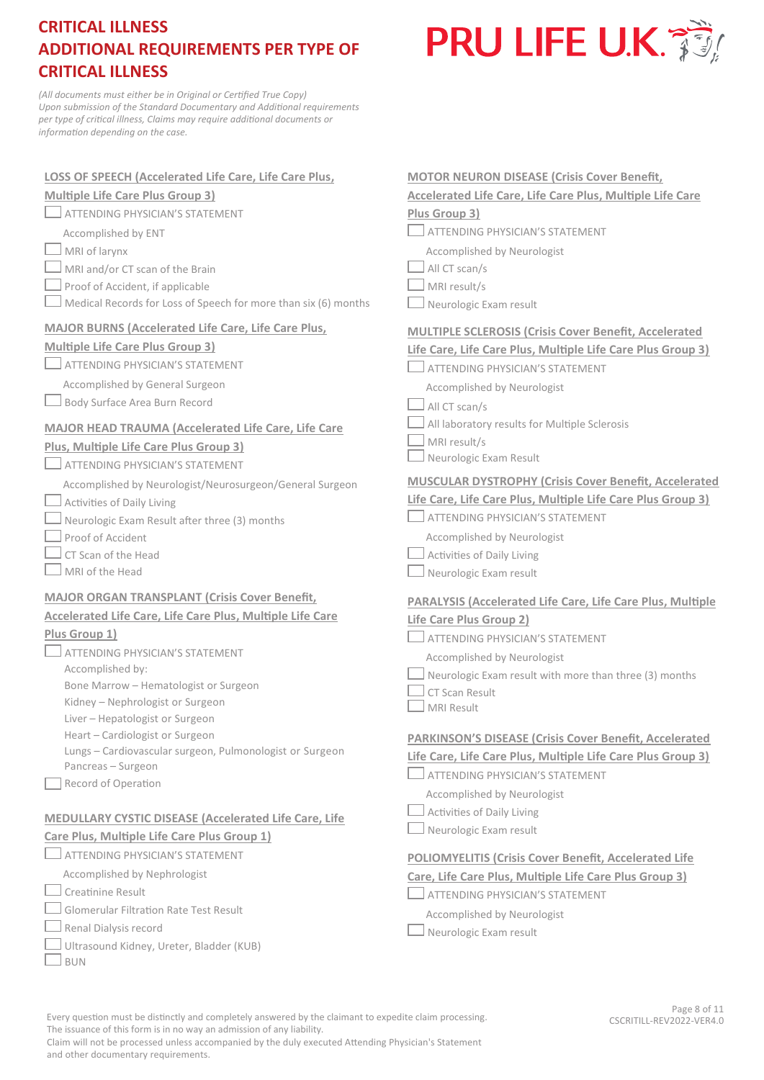

*(All documents must either be in Original or Certified True Copy) Upon submission of the Standard Documentary and Additional requirements per type of critical illness, Claims may require additional documents or information depending on the case.*

| <b>LOSS OF SPEECH (Accelerated Life Care, Life Care Plus,</b>                               | <b>MOTOR NEURON DISEASE (Crisis Cover Benefit,</b>                |
|---------------------------------------------------------------------------------------------|-------------------------------------------------------------------|
| <b>Multiple Life Care Plus Group 3)</b>                                                     | <b>Accelerated Life Care, Life Care Plus, Multiple Life Care</b>  |
| ATTENDING PHYSICIAN'S STATEMENT                                                             | Plus Group 3)                                                     |
| Accomplished by ENT                                                                         | <b>ATTENDING PHYSICIAN'S STATEMENT</b>                            |
| MRI of larynx                                                                               | Accomplished by Neurologist                                       |
| MRI and/or CT scan of the Brain                                                             | All CT scan/s                                                     |
| Proof of Accident, if applicable                                                            | MRI result/s                                                      |
| Medical Records for Loss of Speech for more than six (6) months                             | Neurologic Exam result                                            |
| <b>MAJOR BURNS (Accelerated Life Care, Life Care Plus,</b>                                  | <b>MULTIPLE SCLEROSIS (Crisis Cover Benefit, Accelerated</b>      |
| <b>Multiple Life Care Plus Group 3)</b>                                                     | Life Care, Life Care Plus, Multiple Life Care Plus Group 3)       |
| ATTENDING PHYSICIAN'S STATEMENT                                                             | <b>ATTENDING PHYSICIAN'S STATEMENT</b>                            |
| Accomplished by General Surgeon                                                             | Accomplished by Neurologist                                       |
| Body Surface Area Burn Record                                                               | All CT scan/s                                                     |
|                                                                                             | All laboratory results for Multiple Sclerosis                     |
| <b>MAJOR HEAD TRAUMA (Accelerated Life Care, Life Care</b>                                  | MRI result/s                                                      |
| Plus, Multiple Life Care Plus Group 3)                                                      | Neurologic Exam Result                                            |
| ATTENDING PHYSICIAN'S STATEMENT                                                             | MUSCULAR DYSTROPHY (Crisis Cover Benefit, Accelerated             |
| Accomplished by Neurologist/Neurosurgeon/General Surgeon                                    | Life Care, Life Care Plus, Multiple Life Care Plus Group 3)       |
| Activities of Daily Living                                                                  | ATTENDING PHYSICIAN'S STATEMENT                                   |
| Neurologic Exam Result after three (3) months<br>Proof of Accident                          | Accomplished by Neurologist                                       |
| CT Scan of the Head                                                                         | Activities of Daily Living                                        |
| MRI of the Head                                                                             | Neurologic Exam result                                            |
|                                                                                             |                                                                   |
|                                                                                             |                                                                   |
| <b>MAJOR ORGAN TRANSPLANT (Crisis Cover Benefit,</b>                                        | <b>PARALYSIS (Accelerated Life Care, Life Care Plus, Multiple</b> |
| <b>Accelerated Life Care, Life Care Plus, Multiple Life Care</b>                            | Life Care Plus Group 2)                                           |
| Plus Group 1)                                                                               | <b>ATTENDING PHYSICIAN'S STATEMENT</b>                            |
| ATTENDING PHYSICIAN'S STATEMENT                                                             | Accomplished by Neurologist                                       |
| Accomplished by:                                                                            | Neurologic Exam result with more than three (3) months            |
| Bone Marrow - Hematologist or Surgeon                                                       | CT Scan Result                                                    |
| Kidney - Nephrologist or Surgeon                                                            | MRI Result                                                        |
| Liver - Hepatologist or Surgeon                                                             |                                                                   |
| Heart - Cardiologist or Surgeon<br>Lungs - Cardiovascular surgeon, Pulmonologist or Surgeon | <b>PARKINSON'S DISEASE (Crisis Cover Benefit, Accelerated</b>     |
| Pancreas - Surgeon                                                                          | Life Care, Life Care Plus, Multiple Life Care Plus Group 3)       |
| Record of Operation                                                                         | ATTENDING PHYSICIAN'S STATEMENT                                   |
|                                                                                             | Accomplished by Neurologist                                       |
| <b>MEDULLARY CYSTIC DISEASE (Accelerated Life Care, Life</b>                                | Activities of Daily Living                                        |
| Care Plus, Multiple Life Care Plus Group 1)                                                 | Neurologic Exam result                                            |
| ATTENDING PHYSICIAN'S STATEMENT                                                             | <b>POLIOMYELITIS (Crisis Cover Benefit, Accelerated Life</b>      |
| Accomplished by Nephrologist                                                                | Care, Life Care Plus, Multiple Life Care Plus Group 3)            |
| Creatinine Result                                                                           | ATTENDING PHYSICIAN'S STATEMENT                                   |
| <b>Glomerular Filtration Rate Test Result</b>                                               | Accomplished by Neurologist                                       |
| Renal Dialysis record                                                                       | Neurologic Exam result                                            |
| Ultrasound Kidney, Ureter, Bladder (KUB)<br><b>BUN</b>                                      |                                                                   |

Every question must be distinctly and completely answered by the claimant to expedite claim processing. The issuance of this form is in no way an admission of any liability.

Claim will not be processed unless accompanied by the duly executed Attending Physician's Statement and other documentary requirements.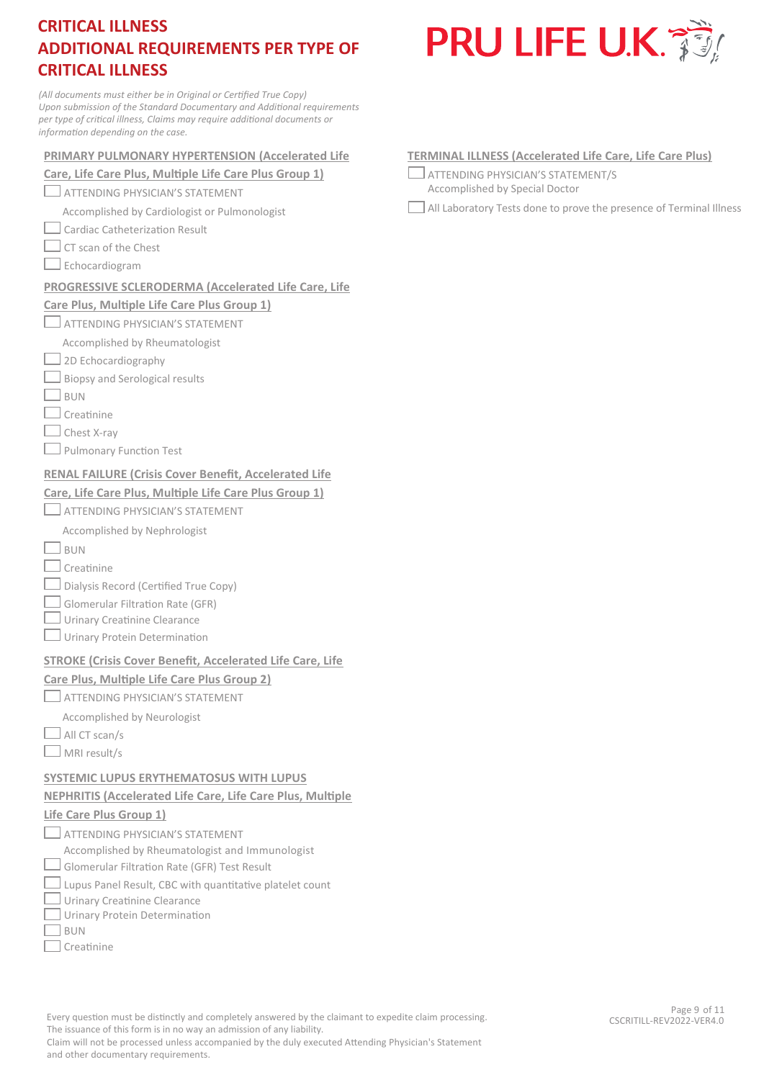*(All documents must either be in Original or Certified True Copy) Upon submission of the Standard Documentary and Additional requirements per type of critical illness, Claims may require additional documents or information depending on the case.*

#### **PRIMARY PULMONARY HYPERTENSION (Accelerated Life**

**Care, Life Care Plus, Multiple Life Care Plus Group 1)** 

**ATTENDING PHYSICIAN'S STATEMENT** 

Accomplished by Cardiologist or Pulmonologist

Cardiac Catheterization Result

- $\Box$  CT scan of the Chest
- Echocardiogram

#### **PROGRESSIVE SCLERODERMA (Accelerated Life Care, Life**

#### **Care Plus, Multiple Life Care Plus Group 1)**

**ATTENDING PHYSICIAN'S STATEMENT** 

#### Accomplished by Rheumatologist

- $\Box$  2D Echocardiography
- $\Box$  Biopsy and Serological results
- $\Box$ BUN
- $\Box$  Creatinine
- $\Box$  Chest X-ray
- **Pulmonary Function Test**

#### **RENAL FAILURE (Crisis Cover Benefit, Accelerated Life**

#### **Care, Life Care Plus, Multiple Life Care Plus Group 1)**

## **ATTENDING PHYSICIAN'S STATEMENT**

- Accomplished by Nephrologist
- $\Box$ BUN
- $\Box$  Creatinine
- $\Box$  Dialysis Record (Certified True Copy)
- Glomerular Filtration Rate (GFR)
- Urinary Creatinine Clearance
- Urinary Protein Determination

#### **STROKE (Crisis Cover Benefit, Accelerated Life Care, Life**

#### **Care Plus, Multiple Life Care Plus Group 2)**

- **ATTENDING PHYSICIAN'S STATEMENT**
- Accomplished by Neurologist
- $\Box$  All CT scan/s
- MRI result/s

## **SYSTEMIC LUPUS ERYTHEMATOSUS WITH LUPUS**

### **NEPHRITIS (Accelerated Life Care, Life Care Plus, Multiple**

#### **Life Care Plus Group 1)**

- $\Box$  attending physician's statement
- Accomplished by Rheumatologist and Immunologist
- $\Box$  Glomerular Filtration Rate (GFR) Test Result
- $\Box$  Lupus Panel Result, CBC with quantitative platelet count
- $\Box$  Urinary Creatinine Clearance
- Urinary Protein Determination
- $\Box$ BUN
- $\sqsupset$  Creatinine
- **TERMINAL ILLNESS (Accelerated Life Care, Life Care Plus)** 
	- ATTENDING PHYSICIAN'S STATEMENT/S Accomplished by Special Doctor

All Laboratory Tests done to prove the presence of Terminal Illness

The issuance of this form is in no way an admission of any liability. Claim will not be processed unless accompanied by the duly executed Attending Physician's Statement

Every question must be distinctly and completely answered by the claimant to expedite claim processing.

# **PRU LIFE U.K. 350**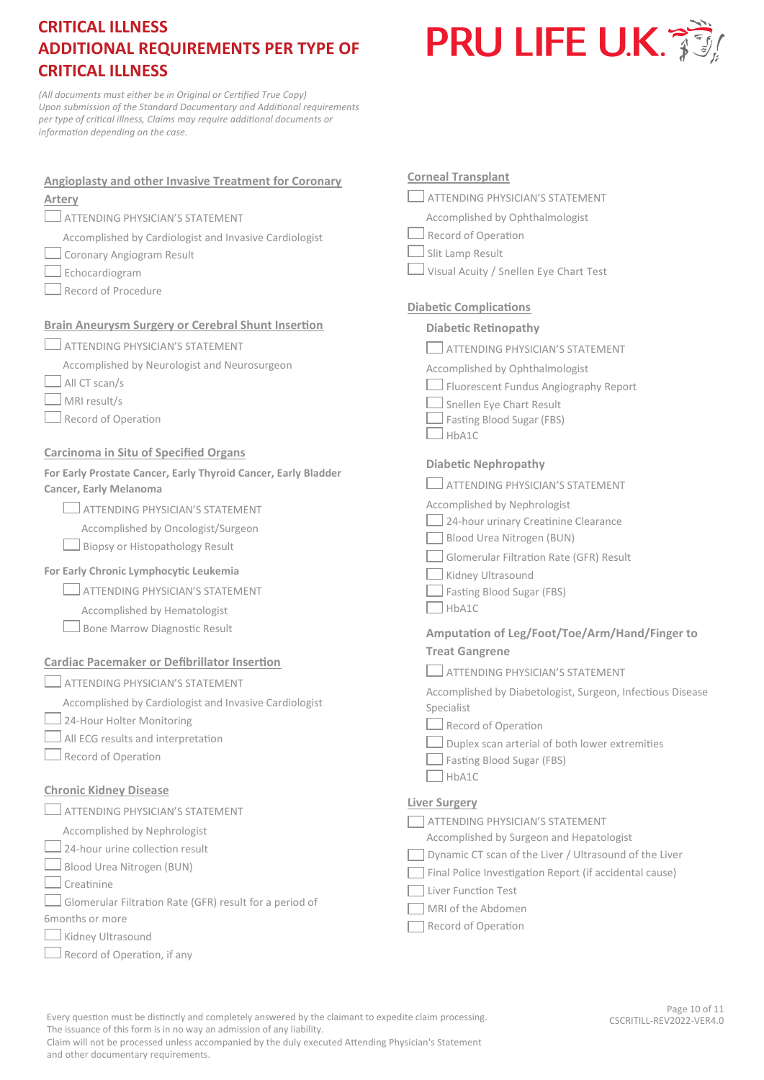

*(All documents must either be in Original or Certified True Copy) Upon submission of the Standard Documentary and Additional requirements per type of critical illness, Claims may require additional documents or information depending on the case.*

| <b>Angioplasty and other Invasive Treatment for Coronary</b><br>Artery                   |  |
|------------------------------------------------------------------------------------------|--|
| <b>ATTENDING PHYSICIAN'S STATEMENT</b>                                                   |  |
| Accomplished by Cardiologist and Invasive Cardiologist                                   |  |
| Coronary Angiogram Result                                                                |  |
| Echocardiogram                                                                           |  |
| Record of Procedure                                                                      |  |
| <b>Brain Aneurysm Surgery or Cerebral Shunt Insertion</b>                                |  |
| $\Box$ attending physician's statement                                                   |  |
| Accomplished by Neurologist and Neurosurgeon                                             |  |
| $\Box$ All CT scan/s                                                                     |  |
| MRI result/s                                                                             |  |
| Record of Operation                                                                      |  |
| <b>Carcinoma in Situ of Specified Organs</b>                                             |  |
| For Early Prostate Cancer, Early Thyroid Cancer, Early Bladder<br>Cancer, Early Melanoma |  |
| $\Box$ attending physician's statement                                                   |  |
| Accomplished by Oncologist/Surgeon                                                       |  |
| $\Box$ Biopsy or Histopathology Result                                                   |  |
| For Early Chronic Lymphocytic Leukemia                                                   |  |
| $\Box$ attending physician's statement                                                   |  |
| Accomplished by Hematologist                                                             |  |
| Bone Marrow Diagnostic Result                                                            |  |
| <b>Cardiac Pacemaker or Defibrillator Insertion</b>                                      |  |
| <b>ATTENDING PHYSICIAN'S STATEMENT</b>                                                   |  |
| Accomplished by Cardiologist and Invasive Cardiologist                                   |  |
| 24-Hour Holter Monitoring                                                                |  |
| All ECG results and interpretation                                                       |  |
| Record of Operation                                                                      |  |
| <b>Chronic Kidney Disease</b>                                                            |  |
| ATTENDING PHYSICIAN'S STATEMENT                                                          |  |
| Accomplished by Nephrologist                                                             |  |
| 24-hour urine collection result                                                          |  |
| Blood Urea Nitrogen (BUN)                                                                |  |
| Creatinine                                                                               |  |
| Glomerular Filtration Rate (GFR) result for a period of                                  |  |

- 6months or more
- $\Box$  Kidney Ultrasound
- $\Box$  Record of Operation, if any

#### **Corneal Transplant**

**ATTENDING PHYSICIAN'S STATEMENT** 

- Accomplished by Ophthalmologist
- Record of Operation
- $\Box$  Slit Lamp Result
- Visual Acuity / Snellen Eye Chart Test

### **Diabetic Complications**

#### **Diabetic Retinopathy**

- **ATTENDING PHYSICIAN'S STATEMENT**
- Accomplished by Ophthalmologist
- Fluorescent Fundus Angiography Report
- Snellen Eye Chart Result
- $\Box$  Fasting Blood Sugar (FBS)
- $\Box$ HbA1C

#### **Diabetic Nephropathy**

|  | $\Box$ attending physician's statement. |  |
|--|-----------------------------------------|--|
|--|-----------------------------------------|--|

Accomplished by Nephrologist

- 24-hour urinary Creatinine Clearance
- Blood Urea Nitrogen (BUN)
- Glomerular Filtration Rate (GFR) Result
- Kidney Ultrasound
- Fasting Blood Sugar (FBS)
- HbA1C

## **Amputation of Leg/Foot/Toe/Arm/Hand/Finger to Treat Gangrene**

Accomplished by Diabetologist, Surgeon, Infectious Disease Specialist

- Record of Operation
- $\Box$  Duplex scan arterial of both lower extremities
- Fasting Blood Sugar (FBS)
- $HbA1C$

#### **Liver Surgery**

**THENDING PHYSICIAN'S STATEMENT** 

Accomplished by Surgeon and Hepatologist

- Dynamic CT scan of the Liver / Ultrasound of the Liver
- Final Police Investigation Report (if accidental cause)
- Liver Function Test
- MRI of the Abdomen
- Record of Operation

Every question must be distinctly and completely answered by the claimant to expedite claim processing. The issuance of this form is in no way an admission of any liability.

Page 10 of 11 CSCRITILL-REV2022-VER4.0

Claim will not be processed unless accompanied by the duly executed Attending Physician's Statement and other documentary requirements.